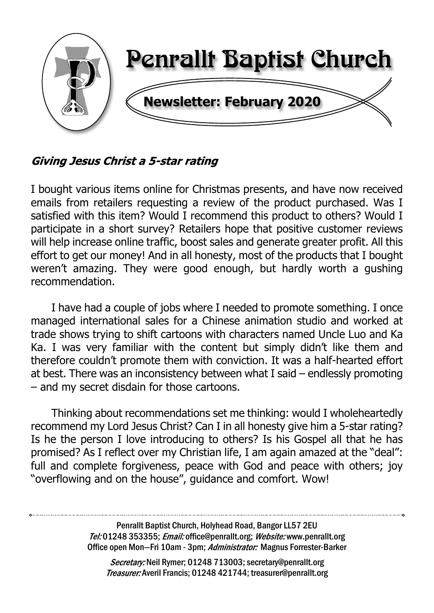

## Giving Jesus Christ a 5-star rating

I bought various items online for Christmas presents, and have now received emails from retailers requesting a review of the product purchased. Was I satisfied with this item? Would I recommend this product to others? Would I participate in a short survey? Retailers hope that positive customer reviews will help increase online traffic, boost sales and generate greater profit. All this effort to get our money! And in all honesty, most of the products that I bought weren't amazing. They were good enough, but hardly worth a gushing recommendation.

I have had a couple of jobs where I needed to promote something. I once managed international sales for a Chinese animation studio and worked at trade shows trying to shift cartoons with characters named Uncle Luo and Ka Ka. I was very familiar with the content but simply didn't like them and therefore couldn't promote them with conviction. It was a half-hearted effort at best. There was an inconsistency between what I said – endlessly promoting – and my secret disdain for those cartoons.

Thinking about recommendations set me thinking: would I wholeheartedly recommend my Lord Jesus Christ? Can I in all honesty give him a 5-star rating? Is he the person I love introducing to others? Is his Gospel all that he has promised? As I reflect over my Christian life, I am again amazed at the "deal": full and complete forgiveness, peace with God and peace with others; joy "overflowing and on the house", guidance and comfort. Wow!

> Penrallt Baptist Church, Holyhead Road, Bangor LL57 2EU Tel:01248 353355; Email: office@penrallt.org; Website: www.penrallt.org Office open Mon-Fri 10am - 3pm; Administrator: Magnus Forrester-Barker

Secretary: Neil Rymer; 01248 713003; secretary@penrallt.org Treasurer: Averil Francis; 01248 421744; treasurer@penrallt.org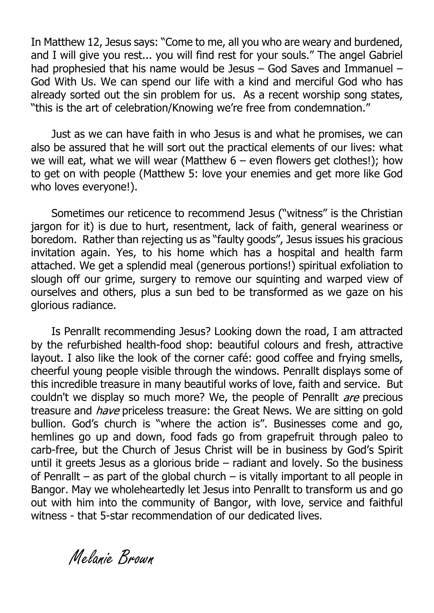In Matthew 12, Jesus says: "Come to me, all you who are weary and burdened, and I will give you rest... you will find rest for your souls." The angel Gabriel had prophesied that his name would be Jesus – God Saves and Immanuel – God With Us. We can spend our life with a kind and merciful God who has already sorted out the sin problem for us. As a recent worship song states, "this is the art of celebration/Knowing we're free from condemnation."

Just as we can have faith in who Jesus is and what he promises, we can also be assured that he will sort out the practical elements of our lives: what we will eat, what we will wear (Matthew  $6 -$  even flowers get clothes!); how to get on with people (Matthew 5: love your enemies and get more like God who loves everyone!).

Sometimes our reticence to recommend Jesus ("witness" is the Christian jargon for it) is due to hurt, resentment, lack of faith, general weariness or boredom. Rather than rejecting us as "faulty goods", Jesus issues his gracious invitation again. Yes, to his home which has a hospital and health farm attached. We get a splendid meal (generous portions!) spiritual exfoliation to slough off our grime, surgery to remove our squinting and warped view of ourselves and others, plus a sun bed to be transformed as we gaze on his glorious radiance.

Is Penrallt recommending Jesus? Looking down the road, I am attracted by the refurbished health-food shop: beautiful colours and fresh, attractive layout. I also like the look of the corner café: good coffee and frying smells, cheerful young people visible through the windows. Penrallt displays some of this incredible treasure in many beautiful works of love, faith and service. But couldn't we display so much more? We, the people of Penrallt *are* precious treasure and *have* priceless treasure: the Great News. We are sitting on gold bullion. God's church is "where the action is". Businesses come and go, hemlines go up and down, food fads go from grapefruit through paleo to carb-free, but the Church of Jesus Christ will be in business by God's Spirit until it greets Jesus as a glorious bride  $-$  radiant and lovely. So the business of Penrallt – as part of the global church – is vitally important to all people in Bangor. May we wholeheartedly let Jesus into Penrallt to transform us and go out with him into the community of Bangor, with love, service and faithful witness - that 5-star recommendation of our dedicated lives.

Melanie Brown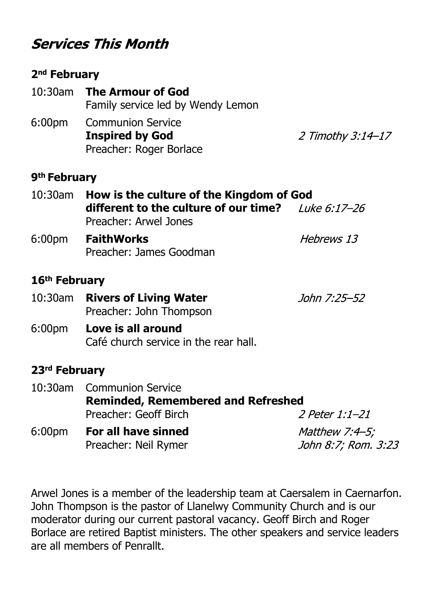# **Services This Month**

#### **2nd February**

|        | 10:30am The Armour of God         |  |  |
|--------|-----------------------------------|--|--|
|        | Family service led by Wendy Lemon |  |  |
| 6:00pm | <b>Communion Service</b>          |  |  |
|        | <b>Inspired by God</b>            |  |  |
|        | Preacher: Roger Borlace           |  |  |

2 Timothy 3:14-17

#### **9th February**

| 10:30am How is the culture of the Kingdom of God     |                   |  |
|------------------------------------------------------|-------------------|--|
| different to the culture of our time? Luke $6.17-26$ |                   |  |
| Preacher: Arwel Jones                                |                   |  |
| 6:00pm <b>FaithWorks</b>                             | <i>Hebrews 13</i> |  |

Preacher: James Goodman

#### **16th February**

- 10:30am **Rivers of Living Water** John 7:25-52 Preacher: John Thompson
- 6:00pm **Love is all around** Café church service in the rear hall.

#### **23rd February**

|                    | 10:30am Communion Service                 |                       |  |  |
|--------------------|-------------------------------------------|-----------------------|--|--|
|                    | <b>Reminded, Remembered and Refreshed</b> |                       |  |  |
|                    | Preacher: Geoff Birch                     | <i>2 Peter 1:1-21</i> |  |  |
| 6:00 <sub>pm</sub> | For all have sinned                       | Matthew $7:4-5;$      |  |  |
|                    | Preacher: Neil Rymer                      | John 8:7; Rom. 3:23   |  |  |

Arwel Jones is a member of the leadership team at Caersalem in Caernarfon. John Thompson is the pastor of Llanelwy Community Church and is our moderator during our current pastoral vacancy. Geoff Birch and Roger Borlace are retired Baptist ministers. The other speakers and service leaders are all members of Penrallt.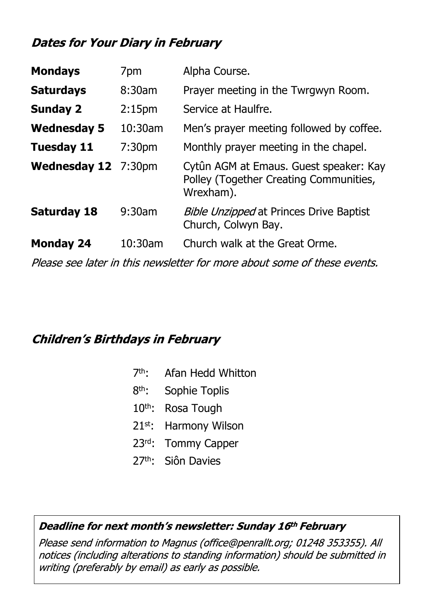# **Dates for Your Diary in February**

| <b>Mondays</b>             | 7pm                | Alpha Course.                                                                                 |
|----------------------------|--------------------|-----------------------------------------------------------------------------------------------|
| <b>Saturdays</b>           | 8:30am             | Prayer meeting in the Twrgwyn Room.                                                           |
| <b>Sunday 2</b>            | 2:15 <sub>pm</sub> | Service at Haulfre.                                                                           |
| <b>Wednesday 5</b>         | 10:30am            | Men's prayer meeting followed by coffee.                                                      |
| <b>Tuesday 11</b>          | 7:30 <sub>pm</sub> | Monthly prayer meeting in the chapel.                                                         |
| <b>Wednesday 12</b> 7:30pm |                    | Cytûn AGM at Emaus. Guest speaker: Kay<br>Polley (Together Creating Communities,<br>Wrexham). |
| <b>Saturday 18</b>         | 9:30am             | <b>Bible Unzipped at Princes Drive Baptist</b><br>Church, Colwyn Bay.                         |
| <b>Monday 24</b>           | $10:30$ am         | Church walk at the Great Orme.                                                                |
|                            |                    | Please see later in this newsletter for more about some of these events.                      |

### **Children's Birthdays in February**

- 7th: Afan Hedd Whitton
- 8<sup>th</sup>: Sophie Toplis
- 10<sup>th</sup>: Rosa Tough
- 21st: Harmony Wilson
- 23rd: Tommy Capper
- 27th: Siôn Davies

#### Deadline for next month's newsletter: Sunday 16th February

Please send information to Magnus (office@penrallt.org; 01248 353355). All notices (including alterations to standing information) should be submitted in writing (preferably by email) as early as possible.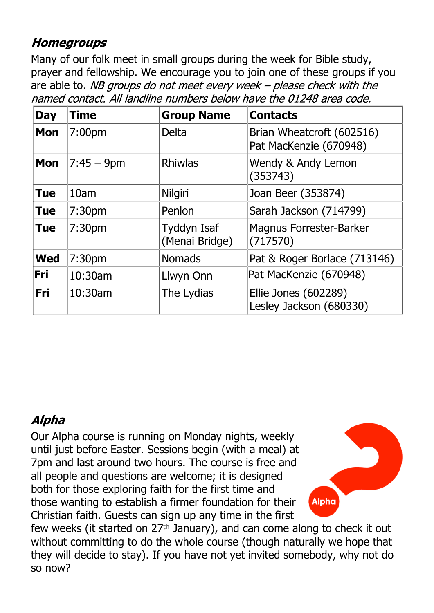# **Homegroups**

Many of our folk meet in small groups during the week for Bible study, prayer and fellowship. We encourage you to join one of these groups if you are able to. NB groups do not meet every week  $-$  please check with the named contact. All landline numbers below have the 01248 area code.

| <b>Day</b> | Time               | <b>Group Name</b>             | <b>Contacts</b>                                     |
|------------|--------------------|-------------------------------|-----------------------------------------------------|
| <b>Mon</b> | 7:00pm             | <b>Delta</b>                  | Brian Wheatcroft (602516)<br>Pat MacKenzie (670948) |
| <b>Mon</b> | $7:45 - 9$ pm      | <b>Rhiwlas</b>                | Wendy & Andy Lemon<br>(353743)                      |
| <b>Tue</b> | 10am               | Nilgiri                       | Joan Beer (353874)                                  |
| <b>Tue</b> | 7:30 <sub>pm</sub> | Penlon                        | Sarah Jackson (714799)                              |
| <b>Tue</b> | 7:30 <sub>pm</sub> | Tyddyn Isaf<br>(Menai Bridge) | <b>Magnus Forrester-Barker</b><br>(717570)          |
| <b>Wed</b> | 7:30pm             | <b>Nomads</b>                 | Pat & Roger Borlace (713146)                        |
| Fri        | 10:30am            | Llwyn Onn                     | Pat MacKenzie (670948)                              |
| Fri        | 10:30am            | The Lydias                    | Ellie Jones (602289)<br>Lesley Jackson (680330)     |

# **Alpha**

Our Alpha course is running on Monday nights, weekly until just before Easter. Sessions begin (with a meal) at 7pm and last around two hours. The course is free and all people and questions are welcome; it is designed both for those exploring faith for the first time and those wanting to establish a firmer foundation for their Christian faith. Guests can sign up any time in the first



few weeks (it started on 27th January), and can come along to check it out without committing to do the whole course (though naturally we hope that they will decide to stay). If you have not yet invited somebody, why not do so now?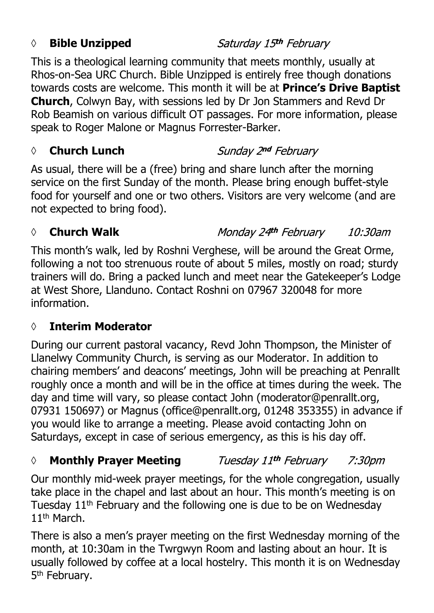## *◊* **Bible Unzipped**

Saturday 15th February

This is a theological learning community that meets monthly, usually at Rhos-on-Sea URC Church. Bible Unzipped is entirely free though donations towards costs are welcome. This month it will be at **Prince's Drive Baptist Church**, Colwyn Bay, with sessions led by Dr Jon Stammers and Revd Dr Rob Beamish on various difficult OT passages. For more information, please speak to Roger Malone or Magnus Forrester-Barker.

#### *◊* **Church Lunch**

Sunday 2nd February

As usual, there will be a (free) bring and share lunch after the morning service on the first Sunday of the month. Please bring enough buffet-style food for yourself and one or two others. Visitors are very welcome (and are not expected to bring food).

# *◊* **Church Walk**

Monday 24th February 10:30am

This month's walk, led by Roshni Verghese, will be around the Great Orme, following a not too strenuous route of about 5 miles, mostly on road; sturdy trainers will do. Bring a packed lunch and meet near the Gatekeeper's Lodge at West Shore, Llanduno. Contact Roshni on 07967 320048 for more information.

# **◊ Interim Moderator**

During our current pastoral vacancy, Revd John Thompson, the Minister of Llanelwy Community Church, is serving as our Moderator. In addition to chairing members' and deacons' meetings, John will be preaching at Penrallt roughly once a month and will be in the office at times during the week. The day and time will vary, so please contact John (moderator@penrallt.org, 07931 150697) or Magnus (office@penrallt.org, 01248 353355) in advance if you would like to arrange a meeting. Please avoid contacting John on Saturdays, except in case of serious emergency, as this is his day off.

#### Tuesday 11<sup>th</sup> February *◊* **Monthly Prayer Meeting** 7:30pm

Our monthly mid-week prayer meetings, for the whole congregation, usually take place in the chapel and last about an hour. This month's meeting is on Tuesday 11th February and the following one is due to be on Wednesday 11<sup>th</sup> March.

There is also a men's prayer meeting on the first Wednesday morning of the month, at 10:30am in the Twrgwyn Room and lasting about an hour. It is usually followed by coffee at a local hostelry. This month it is on Wednesday 5<sup>th</sup> February.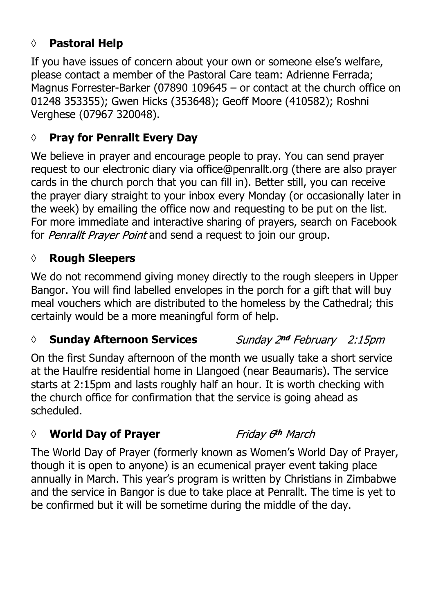# **◊ Pastoral Help**

If you have issues of concern about your own or someone else's welfare, please contact a member of the Pastoral Care team: Adrienne Ferrada; Magnus Forrester-Barker (07890 109645 – or contact at the church office on 01248 353355); Gwen Hicks (353648); Geoff Moore (410582); Roshni Verghese (07967 320048).

# **◊ Pray for Penrallt Every Day**

We believe in prayer and encourage people to pray. You can send prayer request to our electronic diary via office@penrallt.org (there are also prayer cards in the church porch that you can fill in). Better still, you can receive the prayer diary straight to your inbox every Monday (or occasionally later in the week) by emailing the office now and requesting to be put on the list. For more immediate and interactive sharing of prayers, search on Facebook for Penrallt Prayer Point and send a request to join our group.

#### **◊ Rough Sleepers**

We do not recommend giving money directly to the rough sleepers in Upper Bangor. You will find labelled envelopes in the porch for a gift that will buy meal vouchers which are distributed to the homeless by the Cathedral; this certainly would be a more meaningful form of help.

#### *◊* **Sunday Afternoon Services**

Sunday 2nd February 2:15pm

On the first Sunday afternoon of the month we usually take a short service at the Haulfre residential home in Llangoed (near Beaumaris). The service starts at 2:15pm and lasts roughly half an hour. It is worth checking with the church office for confirmation that the service is going ahead as scheduled.

### *◊* **World Day of Prayer**

Friday 6th March

The World Day of Prayer (formerly known as Women's World Day of Prayer, though it is open to anyone) is an ecumenical prayer event taking place annually in March. This year's program is written by Christians in Zimbabwe and the service in Bangor is due to take place at Penrallt. The time is yet to be confirmed but it will be sometime during the middle of the day.